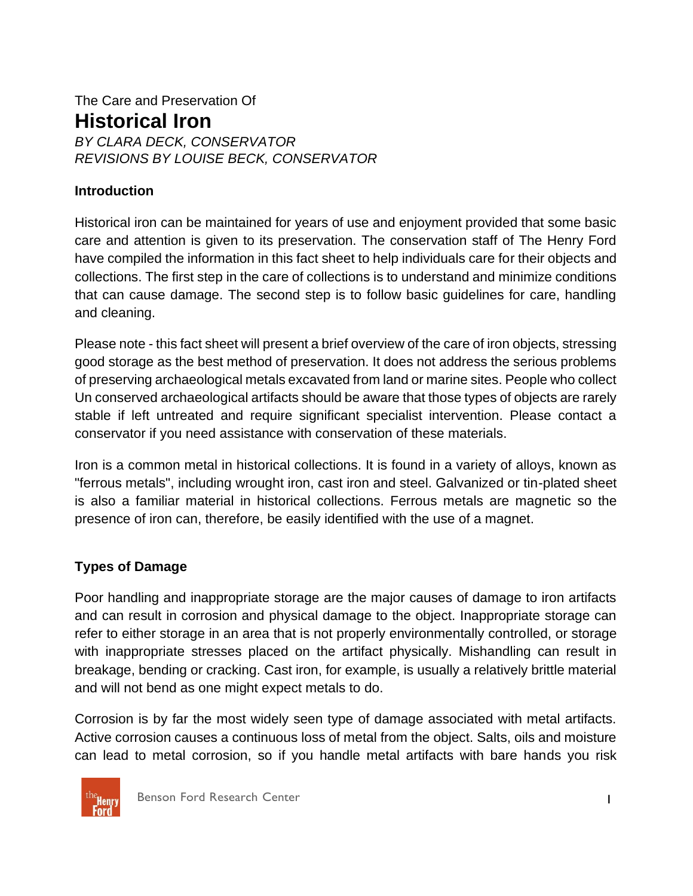## The Care and Preservation Of **Historical Iron** *BY CLARA DECK, CONSERVATOR REVISIONS BY LOUISE BECK, CONSERVATOR*

#### **Introduction**

Historical iron can be maintained for years of use and enjoyment provided that some basic care and attention is given to its preservation. The conservation staff of The Henry Ford have compiled the information in this fact sheet to help individuals care for their objects and collections. The first step in the care of collections is to understand and minimize conditions that can cause damage. The second step is to follow basic guidelines for care, handling and cleaning.

Please note - this fact sheet will present a brief overview of the care of iron objects, stressing good storage as the best method of preservation. It does not address the serious problems of preserving archaeological metals excavated from land or marine sites. People who collect Un conserved archaeological artifacts should be aware that those types of objects are rarely stable if left untreated and require significant specialist intervention. Please contact a conservator if you need assistance with conservation of these materials.

Iron is a common metal in historical collections. It is found in a variety of alloys, known as "ferrous metals", including wrought iron, cast iron and steel. Galvanized or tin-plated sheet is also a familiar material in historical collections. Ferrous metals are magnetic so the presence of iron can, therefore, be easily identified with the use of a magnet.

#### **Types of Damage**

Poor handling and inappropriate storage are the major causes of damage to iron artifacts and can result in corrosion and physical damage to the object. Inappropriate storage can refer to either storage in an area that is not properly environmentally controlled, or storage with inappropriate stresses placed on the artifact physically. Mishandling can result in breakage, bending or cracking. Cast iron, for example, is usually a relatively brittle material and will not bend as one might expect metals to do.

Corrosion is by far the most widely seen type of damage associated with metal artifacts. Active corrosion causes a continuous loss of metal from the object. Salts, oils and moisture can lead to metal corrosion, so if you handle metal artifacts with bare hands you risk



Benson Ford Research Center 1999 and 1999 and 1999 and 1999 and 1999 and 1999 and 1999 and 1999 and 1999 and 1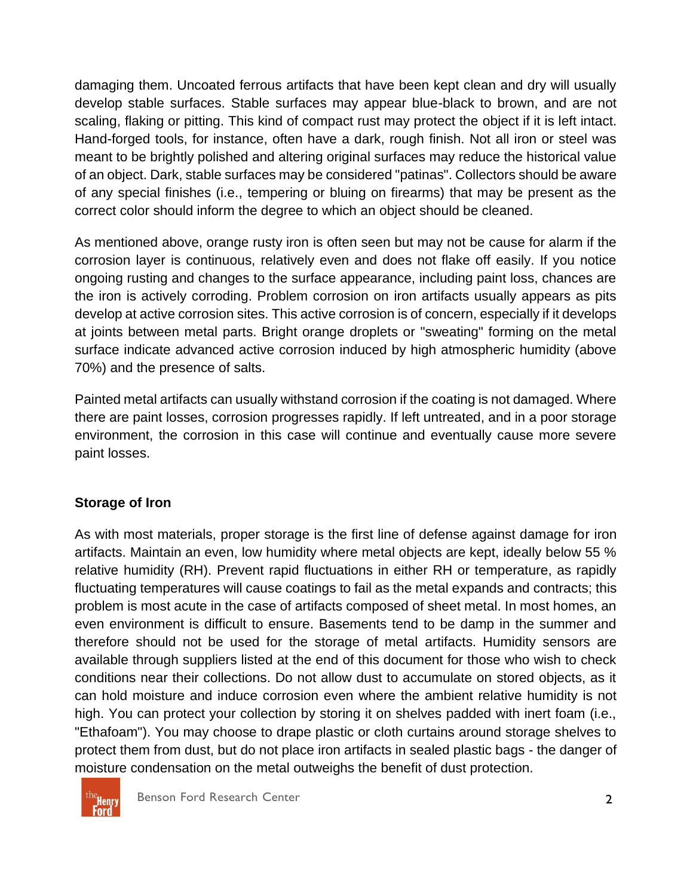damaging them. Uncoated ferrous artifacts that have been kept clean and dry will usually develop stable surfaces. Stable surfaces may appear blue-black to brown, and are not scaling, flaking or pitting. This kind of compact rust may protect the object if it is left intact. Hand-forged tools, for instance, often have a dark, rough finish. Not all iron or steel was meant to be brightly polished and altering original surfaces may reduce the historical value of an object. Dark, stable surfaces may be considered "patinas". Collectors should be aware of any special finishes (i.e., tempering or bluing on firearms) that may be present as the correct color should inform the degree to which an object should be cleaned.

As mentioned above, orange rusty iron is often seen but may not be cause for alarm if the corrosion layer is continuous, relatively even and does not flake off easily. If you notice ongoing rusting and changes to the surface appearance, including paint loss, chances are the iron is actively corroding. Problem corrosion on iron artifacts usually appears as pits develop at active corrosion sites. This active corrosion is of concern, especially if it develops at joints between metal parts. Bright orange droplets or "sweating" forming on the metal surface indicate advanced active corrosion induced by high atmospheric humidity (above 70%) and the presence of salts.

Painted metal artifacts can usually withstand corrosion if the coating is not damaged. Where there are paint losses, corrosion progresses rapidly. If left untreated, and in a poor storage environment, the corrosion in this case will continue and eventually cause more severe paint losses.

### **Storage of Iron**

As with most materials, proper storage is the first line of defense against damage for iron artifacts. Maintain an even, low humidity where metal objects are kept, ideally below 55 % relative humidity (RH). Prevent rapid fluctuations in either RH or temperature, as rapidly fluctuating temperatures will cause coatings to fail as the metal expands and contracts; this problem is most acute in the case of artifacts composed of sheet metal. In most homes, an even environment is difficult to ensure. Basements tend to be damp in the summer and therefore should not be used for the storage of metal artifacts. Humidity sensors are available through suppliers listed at the end of this document for those who wish to check conditions near their collections. Do not allow dust to accumulate on stored objects, as it can hold moisture and induce corrosion even where the ambient relative humidity is not high. You can protect your collection by storing it on shelves padded with inert foam (i.e., "Ethafoam"). You may choose to drape plastic or cloth curtains around storage shelves to protect them from dust, but do not place iron artifacts in sealed plastic bags - the danger of moisture condensation on the metal outweighs the benefit of dust protection.

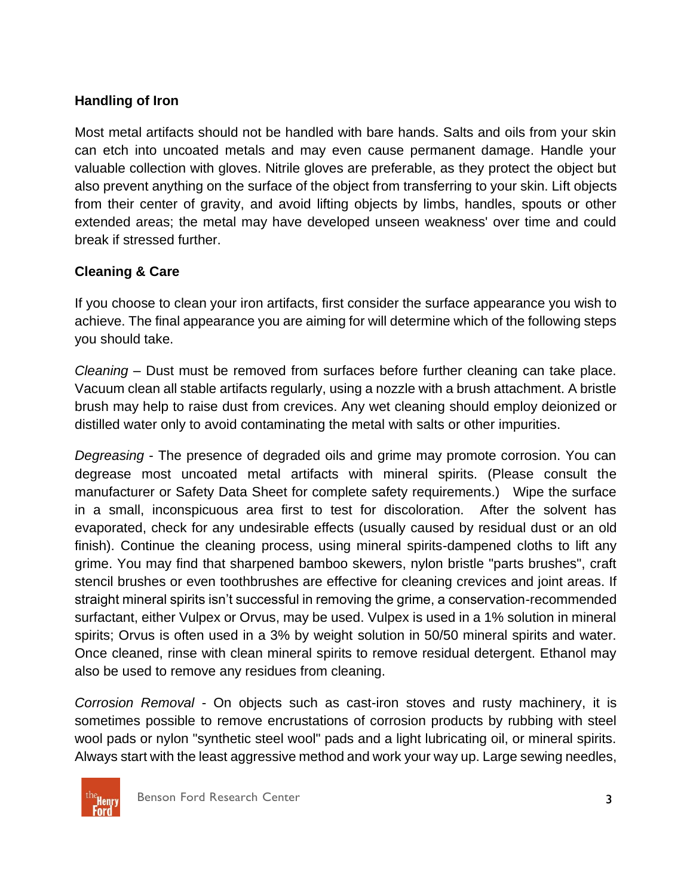### **Handling of Iron**

Most metal artifacts should not be handled with bare hands. Salts and oils from your skin can etch into uncoated metals and may even cause permanent damage. Handle your valuable collection with gloves. Nitrile gloves are preferable, as they protect the object but also prevent anything on the surface of the object from transferring to your skin. Lift objects from their center of gravity, and avoid lifting objects by limbs, handles, spouts or other extended areas; the metal may have developed unseen weakness' over time and could break if stressed further.

### **Cleaning & Care**

If you choose to clean your iron artifacts, first consider the surface appearance you wish to achieve. The final appearance you are aiming for will determine which of the following steps you should take.

*Cleaning* – Dust must be removed from surfaces before further cleaning can take place. Vacuum clean all stable artifacts regularly, using a nozzle with a brush attachment. A bristle brush may help to raise dust from crevices. Any wet cleaning should employ deionized or distilled water only to avoid contaminating the metal with salts or other impurities.

*Degreasing* - The presence of degraded oils and grime may promote corrosion. You can degrease most uncoated metal artifacts with mineral spirits. (Please consult the manufacturer or Safety Data Sheet for complete safety requirements.) Wipe the surface in a small, inconspicuous area first to test for discoloration. After the solvent has evaporated, check for any undesirable effects (usually caused by residual dust or an old finish). Continue the cleaning process, using mineral spirits-dampened cloths to lift any grime. You may find that sharpened bamboo skewers, nylon bristle "parts brushes", craft stencil brushes or even toothbrushes are effective for cleaning crevices and joint areas. If straight mineral spirits isn't successful in removing the grime, a conservation-recommended surfactant, either Vulpex or Orvus, may be used. Vulpex is used in a 1% solution in mineral spirits; Orvus is often used in a 3% by weight solution in 50/50 mineral spirits and water. Once cleaned, rinse with clean mineral spirits to remove residual detergent. Ethanol may also be used to remove any residues from cleaning.

*Corrosion Removal* - On objects such as cast-iron stoves and rusty machinery, it is sometimes possible to remove encrustations of corrosion products by rubbing with steel wool pads or nylon "synthetic steel wool" pads and a light lubricating oil, or mineral spirits. Always start with the least aggressive method and work your way up. Large sewing needles,

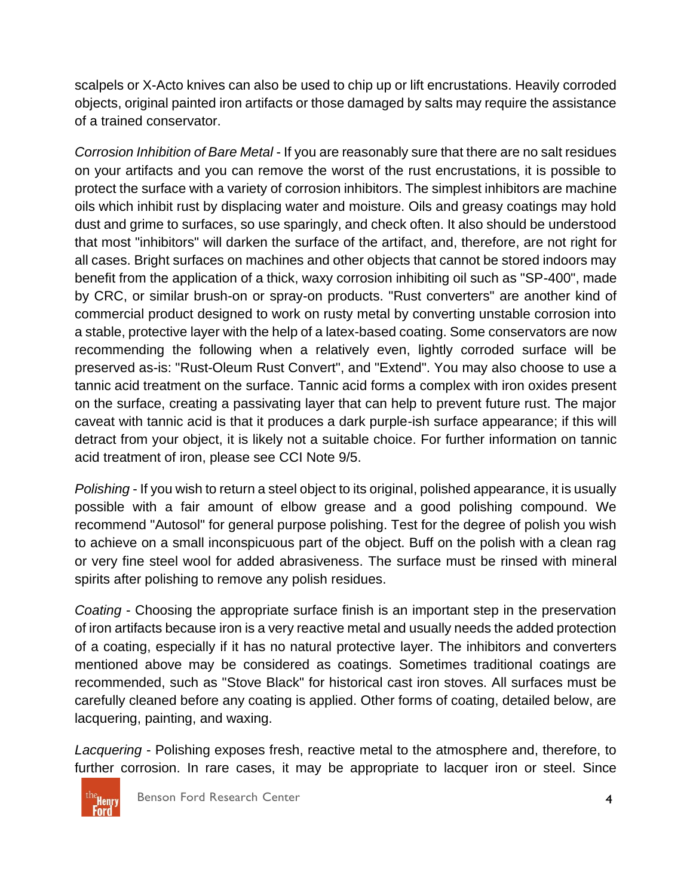scalpels or X-Acto knives can also be used to chip up or lift encrustations. Heavily corroded objects, original painted iron artifacts or those damaged by salts may require the assistance of a trained conservator.

*Corrosion Inhibition of Bare Metal* - If you are reasonably sure that there are no salt residues on your artifacts and you can remove the worst of the rust encrustations, it is possible to protect the surface with a variety of corrosion inhibitors. The simplest inhibitors are machine oils which inhibit rust by displacing water and moisture. Oils and greasy coatings may hold dust and grime to surfaces, so use sparingly, and check often. It also should be understood that most "inhibitors" will darken the surface of the artifact, and, therefore, are not right for all cases. Bright surfaces on machines and other objects that cannot be stored indoors may benefit from the application of a thick, waxy corrosion inhibiting oil such as "SP-400", made by CRC, or similar brush-on or spray-on products. "Rust converters" are another kind of commercial product designed to work on rusty metal by converting unstable corrosion into a stable, protective layer with the help of a latex-based coating. Some conservators are now recommending the following when a relatively even, lightly corroded surface will be preserved as-is: "Rust-Oleum Rust Convert", and "Extend". You may also choose to use a tannic acid treatment on the surface. Tannic acid forms a complex with iron oxides present on the surface, creating a passivating layer that can help to prevent future rust. The major caveat with tannic acid is that it produces a dark purple-ish surface appearance; if this will detract from your object, it is likely not a suitable choice. For further information on tannic acid treatment of iron, please see CCI Note 9/5.

*Polishing* - If you wish to return a steel object to its original, polished appearance, it is usually possible with a fair amount of elbow grease and a good polishing compound. We recommend "Autosol" for general purpose polishing. Test for the degree of polish you wish to achieve on a small inconspicuous part of the object. Buff on the polish with a clean rag or very fine steel wool for added abrasiveness. The surface must be rinsed with mineral spirits after polishing to remove any polish residues.

*Coating* - Choosing the appropriate surface finish is an important step in the preservation of iron artifacts because iron is a very reactive metal and usually needs the added protection of a coating, especially if it has no natural protective layer. The inhibitors and converters mentioned above may be considered as coatings. Sometimes traditional coatings are recommended, such as "Stove Black" for historical cast iron stoves. All surfaces must be carefully cleaned before any coating is applied. Other forms of coating, detailed below, are lacquering, painting, and waxing.

*Lacquering* - Polishing exposes fresh, reactive metal to the atmosphere and, therefore, to further corrosion. In rare cases, it may be appropriate to lacquer iron or steel. Since

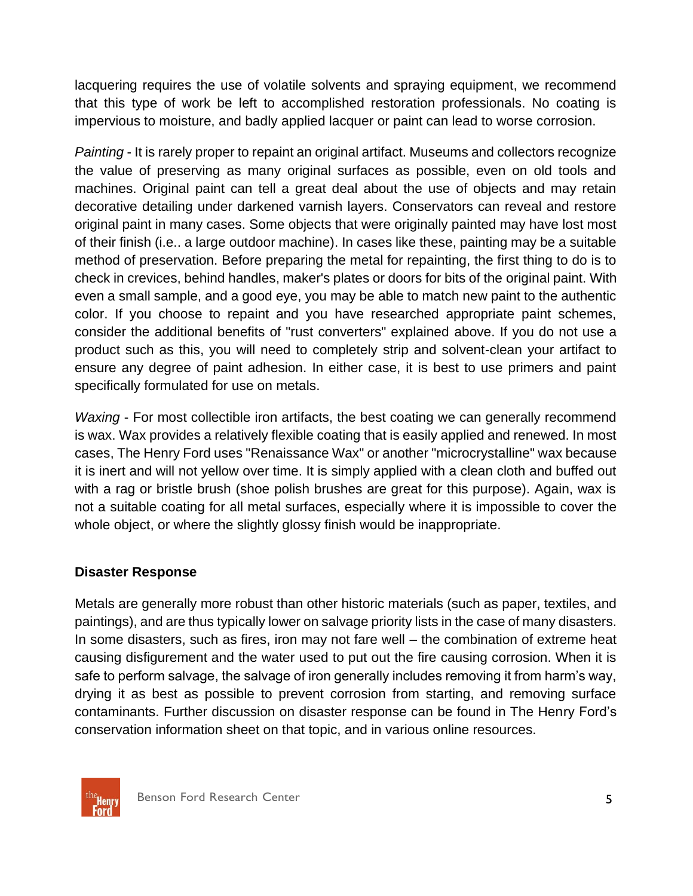lacquering requires the use of volatile solvents and spraying equipment, we recommend that this type of work be left to accomplished restoration professionals. No coating is impervious to moisture, and badly applied lacquer or paint can lead to worse corrosion.

*Painting* - It is rarely proper to repaint an original artifact. Museums and collectors recognize the value of preserving as many original surfaces as possible, even on old tools and machines. Original paint can tell a great deal about the use of objects and may retain decorative detailing under darkened varnish layers. Conservators can reveal and restore original paint in many cases. Some objects that were originally painted may have lost most of their finish (i.e.. a large outdoor machine). In cases like these, painting may be a suitable method of preservation. Before preparing the metal for repainting, the first thing to do is to check in crevices, behind handles, maker's plates or doors for bits of the original paint. With even a small sample, and a good eye, you may be able to match new paint to the authentic color. If you choose to repaint and you have researched appropriate paint schemes, consider the additional benefits of "rust converters" explained above. If you do not use a product such as this, you will need to completely strip and solvent-clean your artifact to ensure any degree of paint adhesion. In either case, it is best to use primers and paint specifically formulated for use on metals.

*Waxing* - For most collectible iron artifacts, the best coating we can generally recommend is wax. Wax provides a relatively flexible coating that is easily applied and renewed. In most cases, The Henry Ford uses "Renaissance Wax" or another "microcrystalline" wax because it is inert and will not yellow over time. It is simply applied with a clean cloth and buffed out with a rag or bristle brush (shoe polish brushes are great for this purpose). Again, wax is not a suitable coating for all metal surfaces, especially where it is impossible to cover the whole object, or where the slightly glossy finish would be inappropriate.

### **Disaster Response**

Metals are generally more robust than other historic materials (such as paper, textiles, and paintings), and are thus typically lower on salvage priority lists in the case of many disasters. In some disasters, such as fires, iron may not fare well – the combination of extreme heat causing disfigurement and the water used to put out the fire causing corrosion. When it is safe to perform salvage, the salvage of iron generally includes removing it from harm's way, drying it as best as possible to prevent corrosion from starting, and removing surface contaminants. Further discussion on disaster response can be found in The Henry Ford's conservation information sheet on that topic, and in various online resources.

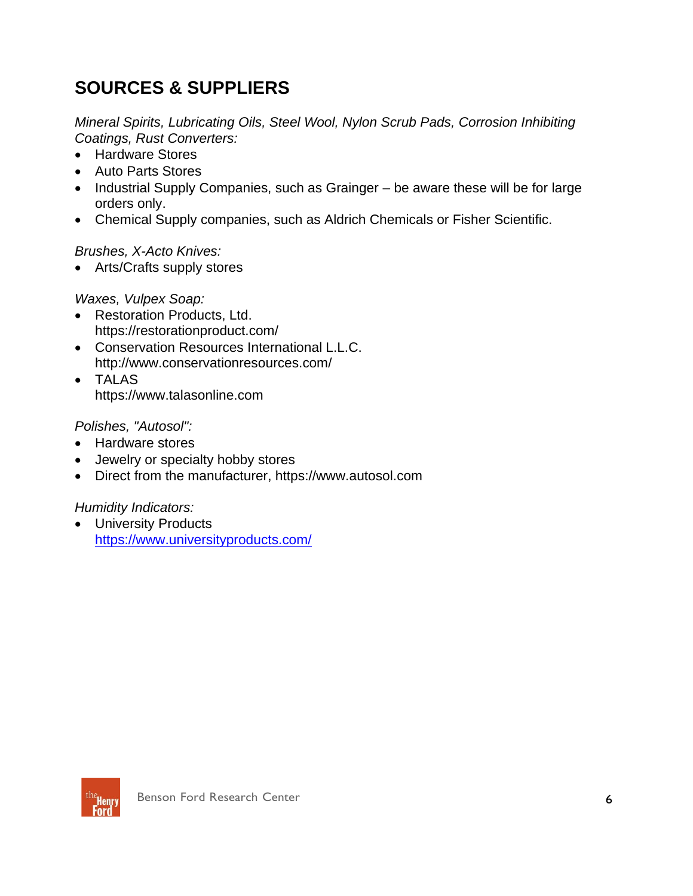# **SOURCES & SUPPLIERS**

*Mineral Spirits, Lubricating Oils, Steel Wool, Nylon Scrub Pads, Corrosion Inhibiting Coatings, Rust Converters:*

- Hardware Stores
- Auto Parts Stores
- Industrial Supply Companies, such as Grainger be aware these will be for large orders only.
- Chemical Supply companies, such as Aldrich Chemicals or Fisher Scientific.

*Brushes, X-Acto Knives:*

• Arts/Crafts supply stores

*Waxes, Vulpex Soap:*

- Restoration Products, Ltd. https://restorationproduct.com/
- Conservation Resources International L.L.C. http://www.conservationresources.com/
- TALAS https://www.talasonline.com

*Polishes, "Autosol":*

- Hardware stores
- Jewelry or specialty hobby stores
- Direct from the manufacturer, https://www.autosol.com

*Humidity Indicators:*

• University Products <https://www.universityproducts.com/>

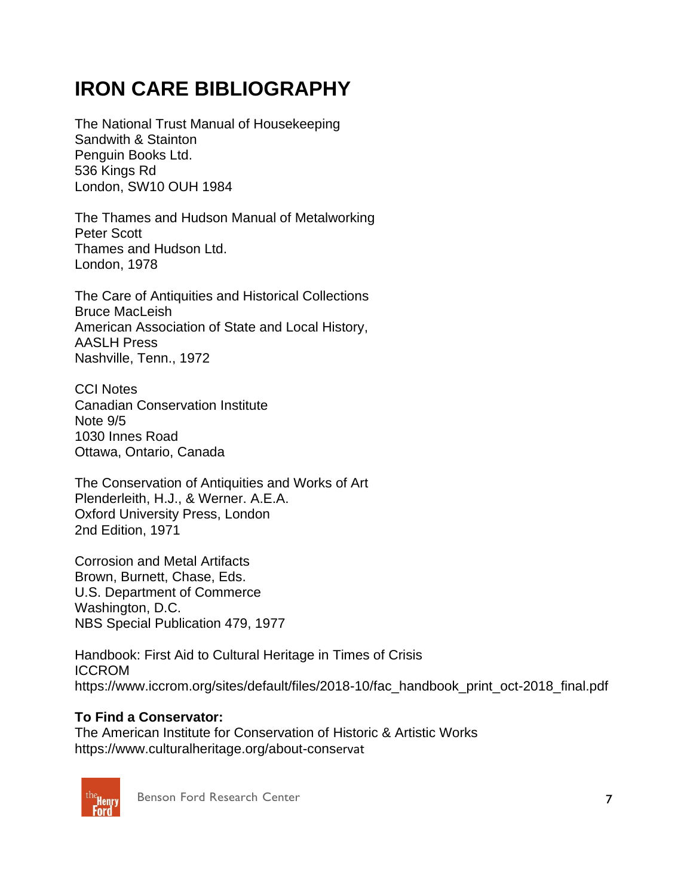# **IRON CARE BIBLIOGRAPHY**

The National Trust Manual of Housekeeping Sandwith & Stainton Penguin Books Ltd. 536 Kings Rd London, SW10 OUH 1984

The Thames and Hudson Manual of Metalworking Peter Scott Thames and Hudson Ltd. London, 1978

The Care of Antiquities and Historical Collections Bruce MacLeish American Association of State and Local History, AASLH Press Nashville, Tenn., 1972

CCI Notes Canadian Conservation Institute Note 9/5 1030 Innes Road Ottawa, Ontario, Canada

The Conservation of Antiquities and Works of Art Plenderleith, H.J., & Werner. A.E.A. Oxford University Press, London 2nd Edition, 1971

Corrosion and Metal Artifacts Brown, Burnett, Chase, Eds. U.S. Department of Commerce Washington, D.C. NBS Special Publication 479, 1977

Handbook: First Aid to Cultural Heritage in Times of Crisis ICCROM https://www.iccrom.org/sites/default/files/2018-10/fac\_handbook\_print\_oct-2018\_final.pdf

#### **To Find a Conservator:**

The American Institute for Conservation of Historic & Artistic Works https://www.culturalheritage.org/about-conservat